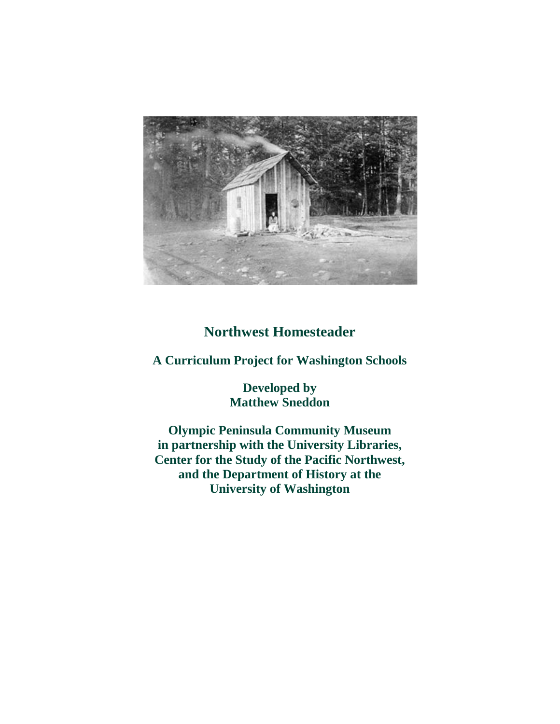

# **Northwest Homesteader**

**A Curriculum Project for Washington Schools**

**Developed by Matthew Sneddon** 

**Olympic Peninsula Community Museum in partnership with the University Libraries, Center for the Study of the Pacific Northwest, and the Department of History at the University of Washington**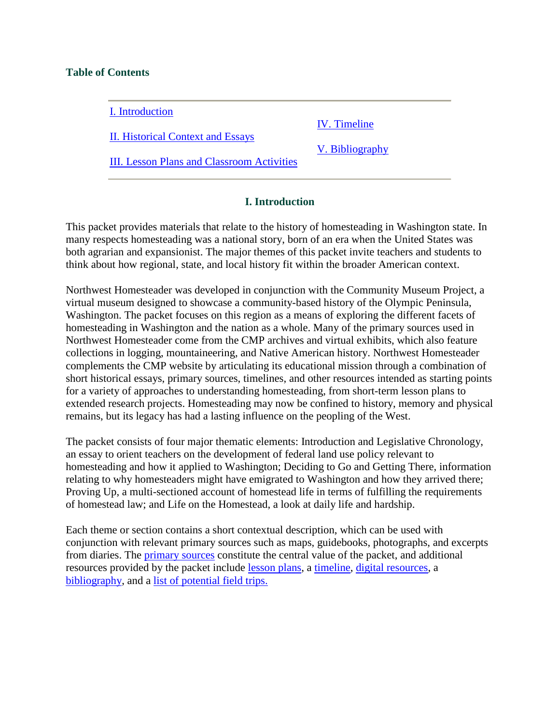### **Table of Contents**

I. Introduction

II. Historical Context and Essays

IV. Timeline

V. Bibliography

III. Lesson Plans and Classroom Activities

# **I. Introduction**

This packet provides materials that relate to the history of homesteading in Washington state. In many respects homesteading was a national story, born of an era when the United States was both agrarian and expansionist. The major themes of this packet invite teachers and students to think about how regional, state, and local history fit within the broader American context.

Northwest Homesteader was developed in conjunction with the Community Museum Project, a virtual museum designed to showcase a community-based history of the Olympic Peninsula, Washington. The packet focuses on this region as a means of exploring the different facets of homesteading in Washington and the nation as a whole. Many of the primary sources used in Northwest Homesteader come from the CMP archives and virtual exhibits, which also feature collections in logging, mountaineering, and Native American history. Northwest Homesteader complements the CMP website by articulating its educational mission through a combination of short historical essays, primary sources, timelines, and other resources intended as starting points for a variety of approaches to understanding homesteading, from short-term lesson plans to extended research projects. Homesteading may now be confined to history, memory and physical remains, but its legacy has had a lasting influence on the peopling of the West.

The packet consists of four major thematic elements: Introduction and Legislative Chronology, an essay to orient teachers on the development of federal land use policy relevant to homesteading and how it applied to Washington; Deciding to Go and Getting There, information relating to why homesteaders might have emigrated to Washington and how they arrived there; Proving Up, a multi-sectioned account of homestead life in terms of fulfilling the requirements of homestead law; and Life on the Homestead, a look at daily life and hardship.

Each theme or section contains a short contextual description, which can be used with conjunction with relevant primary sources such as maps, guidebooks, photographs, and excerpts from diaries. The primary sources constitute the central value of the packet, and additional resources provided by the packet include lesson plans, a timeline, digital resources, a bibliography, and a list of potential field trips.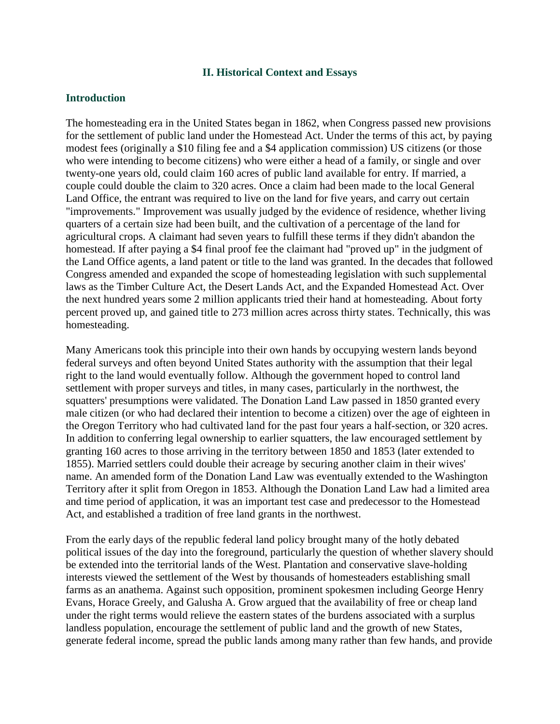#### **II. Historical Context and Essays**

#### **Introduction**

The homesteading era in the United States began in 1862, when Congress passed new provisions for the settlement of public land under the Homestead Act. Under the terms of this act, by paying modest fees (originally a \$10 filing fee and a \$4 application commission) US citizens (or those who were intending to become citizens) who were either a head of a family, or single and over twenty-one years old, could claim 160 acres of public land available for entry. If married, a couple could double the claim to 320 acres. Once a claim had been made to the local General Land Office, the entrant was required to live on the land for five years, and carry out certain "improvements." Improvement was usually judged by the evidence of residence, whether living quarters of a certain size had been built, and the cultivation of a percentage of the land for agricultural crops. A claimant had seven years to fulfill these terms if they didn't abandon the homestead. If after paying a \$4 final proof fee the claimant had "proved up" in the judgment of the Land Office agents, a land patent or title to the land was granted. In the decades that followed Congress amended and expanded the scope of homesteading legislation with such supplemental laws as the Timber Culture Act, the Desert Lands Act, and the Expanded Homestead Act. Over the next hundred years some 2 million applicants tried their hand at homesteading. About forty percent proved up, and gained title to 273 million acres across thirty states. Technically, this was homesteading.

Many Americans took this principle into their own hands by occupying western lands beyond federal surveys and often beyond United States authority with the assumption that their legal right to the land would eventually follow. Although the government hoped to control land settlement with proper surveys and titles, in many cases, particularly in the northwest, the squatters' presumptions were validated. The Donation Land Law passed in 1850 granted every male citizen (or who had declared their intention to become a citizen) over the age of eighteen in the Oregon Territory who had cultivated land for the past four years a half-section, or 320 acres. In addition to conferring legal ownership to earlier squatters, the law encouraged settlement by granting 160 acres to those arriving in the territory between 1850 and 1853 (later extended to 1855). Married settlers could double their acreage by securing another claim in their wives' name. An amended form of the Donation Land Law was eventually extended to the Washington Territory after it split from Oregon in 1853. Although the Donation Land Law had a limited area and time period of application, it was an important test case and predecessor to the Homestead Act, and established a tradition of free land grants in the northwest.

From the early days of the republic federal land policy brought many of the hotly debated political issues of the day into the foreground, particularly the question of whether slavery should be extended into the territorial lands of the West. Plantation and conservative slave-holding interests viewed the settlement of the West by thousands of homesteaders establishing small farms as an anathema. Against such opposition, prominent spokesmen including George Henry Evans, Horace Greely, and Galusha A. Grow argued that the availability of free or cheap land under the right terms would relieve the eastern states of the burdens associated with a surplus landless population, encourage the settlement of public land and the growth of new States, generate federal income, spread the public lands among many rather than few hands, and provide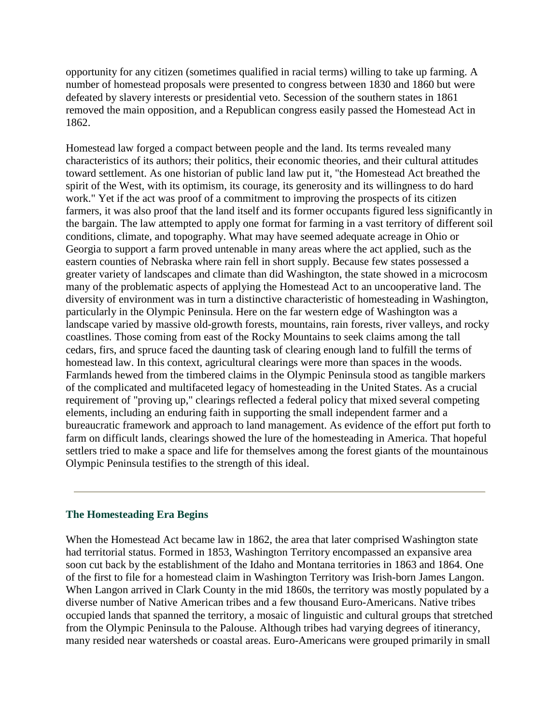opportunity for any citizen (sometimes qualified in racial terms) willing to take up farming. A number of homestead proposals were presented to congress between 1830 and 1860 but were defeated by slavery interests or presidential veto. Secession of the southern states in 1861 removed the main opposition, and a Republican congress easily passed the Homestead Act in 1862.

Homestead law forged a compact between people and the land. Its terms revealed many characteristics of its authors; their politics, their economic theories, and their cultural attitudes toward settlement. As one historian of public land law put it, "the Homestead Act breathed the spirit of the West, with its optimism, its courage, its generosity and its willingness to do hard work." Yet if the act was proof of a commitment to improving the prospects of its citizen farmers, it was also proof that the land itself and its former occupants figured less significantly in the bargain. The law attempted to apply one format for farming in a vast territory of different soil conditions, climate, and topography. What may have seemed adequate acreage in Ohio or Georgia to support a farm proved untenable in many areas where the act applied, such as the eastern counties of Nebraska where rain fell in short supply. Because few states possessed a greater variety of landscapes and climate than did Washington, the state showed in a microcosm many of the problematic aspects of applying the Homestead Act to an uncooperative land. The diversity of environment was in turn a distinctive characteristic of homesteading in Washington, particularly in the Olympic Peninsula. Here on the far western edge of Washington was a landscape varied by massive old-growth forests, mountains, rain forests, river valleys, and rocky coastlines. Those coming from east of the Rocky Mountains to seek claims among the tall cedars, firs, and spruce faced the daunting task of clearing enough land to fulfill the terms of homestead law. In this context, agricultural clearings were more than spaces in the woods. Farmlands hewed from the timbered claims in the Olympic Peninsula stood as tangible markers of the complicated and multifaceted legacy of homesteading in the United States. As a crucial requirement of "proving up," clearings reflected a federal policy that mixed several competing elements, including an enduring faith in supporting the small independent farmer and a bureaucratic framework and approach to land management. As evidence of the effort put forth to farm on difficult lands, clearings showed the lure of the homesteading in America. That hopeful settlers tried to make a space and life for themselves among the forest giants of the mountainous Olympic Peninsula testifies to the strength of this ideal.

#### **The Homesteading Era Begins**

When the Homestead Act became law in 1862, the area that later comprised Washington state had territorial status. Formed in 1853, Washington Territory encompassed an expansive area soon cut back by the establishment of the Idaho and Montana territories in 1863 and 1864. One of the first to file for a homestead claim in Washington Territory was Irish-born James Langon. When Langon arrived in Clark County in the mid 1860s, the territory was mostly populated by a diverse number of Native American tribes and a few thousand Euro-Americans. Native tribes occupied lands that spanned the territory, a mosaic of linguistic and cultural groups that stretched from the Olympic Peninsula to the Palouse. Although tribes had varying degrees of itinerancy, many resided near watersheds or coastal areas. Euro-Americans were grouped primarily in small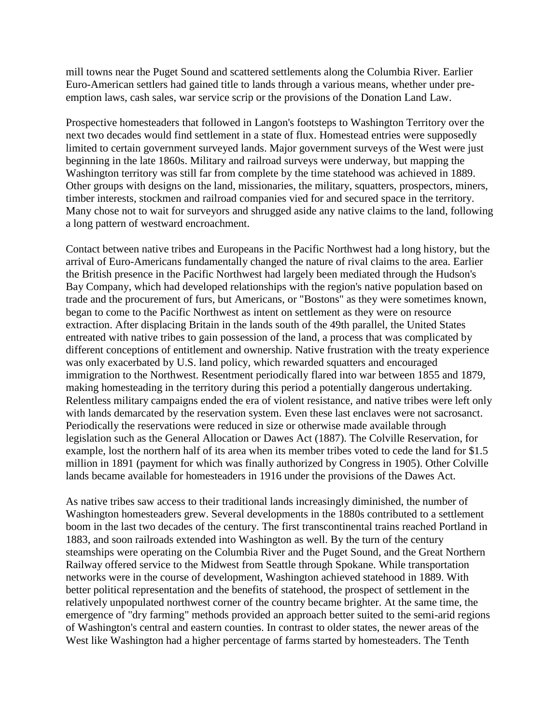mill towns near the Puget Sound and scattered settlements along the Columbia River. Earlier Euro-American settlers had gained title to lands through a various means, whether under preemption laws, cash sales, war service scrip or the provisions of the Donation Land Law.

Prospective homesteaders that followed in Langon's footsteps to Washington Territory over the next two decades would find settlement in a state of flux. Homestead entries were supposedly limited to certain government surveyed lands. Major government surveys of the West were just beginning in the late 1860s. Military and railroad surveys were underway, but mapping the Washington territory was still far from complete by the time statehood was achieved in 1889. Other groups with designs on the land, missionaries, the military, squatters, prospectors, miners, timber interests, stockmen and railroad companies vied for and secured space in the territory. Many chose not to wait for surveyors and shrugged aside any native claims to the land, following a long pattern of westward encroachment.

Contact between native tribes and Europeans in the Pacific Northwest had a long history, but the arrival of Euro-Americans fundamentally changed the nature of rival claims to the area. Earlier the British presence in the Pacific Northwest had largely been mediated through the Hudson's Bay Company, which had developed relationships with the region's native population based on trade and the procurement of furs, but Americans, or "Bostons" as they were sometimes known, began to come to the Pacific Northwest as intent on settlement as they were on resource extraction. After displacing Britain in the lands south of the 49th parallel, the United States entreated with native tribes to gain possession of the land, a process that was complicated by different conceptions of entitlement and ownership. Native frustration with the treaty experience was only exacerbated by U.S. land policy, which rewarded squatters and encouraged immigration to the Northwest. Resentment periodically flared into war between 1855 and 1879, making homesteading in the territory during this period a potentially dangerous undertaking. Relentless military campaigns ended the era of violent resistance, and native tribes were left only with lands demarcated by the reservation system. Even these last enclaves were not sacrosanct. Periodically the reservations were reduced in size or otherwise made available through legislation such as the General Allocation or Dawes Act (1887). The Colville Reservation, for example, lost the northern half of its area when its member tribes voted to cede the land for \$1.5 million in 1891 (payment for which was finally authorized by Congress in 1905). Other Colville lands became available for homesteaders in 1916 under the provisions of the Dawes Act.

As native tribes saw access to their traditional lands increasingly diminished, the number of Washington homesteaders grew. Several developments in the 1880s contributed to a settlement boom in the last two decades of the century. The first transcontinental trains reached Portland in 1883, and soon railroads extended into Washington as well. By the turn of the century steamships were operating on the Columbia River and the Puget Sound, and the Great Northern Railway offered service to the Midwest from Seattle through Spokane. While transportation networks were in the course of development, Washington achieved statehood in 1889. With better political representation and the benefits of statehood, the prospect of settlement in the relatively unpopulated northwest corner of the country became brighter. At the same time, the emergence of "dry farming" methods provided an approach better suited to the semi-arid regions of Washington's central and eastern counties. In contrast to older states, the newer areas of the West like Washington had a higher percentage of farms started by homesteaders. The Tenth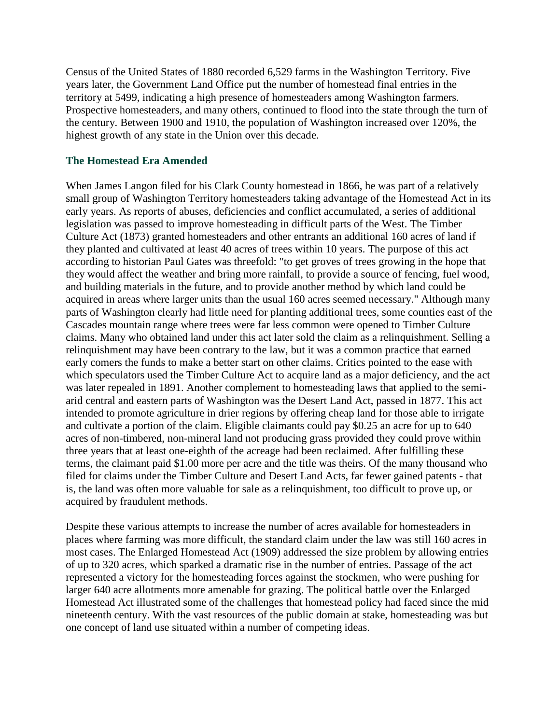Census of the United States of 1880 recorded 6,529 farms in the Washington Territory. Five years later, the Government Land Office put the number of homestead final entries in the territory at 5499, indicating a high presence of homesteaders among Washington farmers. Prospective homesteaders, and many others, continued to flood into the state through the turn of the century. Between 1900 and 1910, the population of Washington increased over 120%, the highest growth of any state in the Union over this decade.

#### **The Homestead Era Amended**

When James Langon filed for his Clark County homestead in 1866, he was part of a relatively small group of Washington Territory homesteaders taking advantage of the Homestead Act in its early years. As reports of abuses, deficiencies and conflict accumulated, a series of additional legislation was passed to improve homesteading in difficult parts of the West. The Timber Culture Act (1873) granted homesteaders and other entrants an additional 160 acres of land if they planted and cultivated at least 40 acres of trees within 10 years. The purpose of this act according to historian Paul Gates was threefold: "to get groves of trees growing in the hope that they would affect the weather and bring more rainfall, to provide a source of fencing, fuel wood, and building materials in the future, and to provide another method by which land could be acquired in areas where larger units than the usual 160 acres seemed necessary." Although many parts of Washington clearly had little need for planting additional trees, some counties east of the Cascades mountain range where trees were far less common were opened to Timber Culture claims. Many who obtained land under this act later sold the claim as a relinquishment. Selling a relinquishment may have been contrary to the law, but it was a common practice that earned early comers the funds to make a better start on other claims. Critics pointed to the ease with which speculators used the Timber Culture Act to acquire land as a major deficiency, and the act was later repealed in 1891. Another complement to homesteading laws that applied to the semiarid central and eastern parts of Washington was the Desert Land Act, passed in 1877. This act intended to promote agriculture in drier regions by offering cheap land for those able to irrigate and cultivate a portion of the claim. Eligible claimants could pay \$0.25 an acre for up to 640 acres of non-timbered, non-mineral land not producing grass provided they could prove within three years that at least one-eighth of the acreage had been reclaimed. After fulfilling these terms, the claimant paid \$1.00 more per acre and the title was theirs. Of the many thousand who filed for claims under the Timber Culture and Desert Land Acts, far fewer gained patents - that is, the land was often more valuable for sale as a relinquishment, too difficult to prove up, or acquired by fraudulent methods.

Despite these various attempts to increase the number of acres available for homesteaders in places where farming was more difficult, the standard claim under the law was still 160 acres in most cases. The Enlarged Homestead Act (1909) addressed the size problem by allowing entries of up to 320 acres, which sparked a dramatic rise in the number of entries. Passage of the act represented a victory for the homesteading forces against the stockmen, who were pushing for larger 640 acre allotments more amenable for grazing. The political battle over the Enlarged Homestead Act illustrated some of the challenges that homestead policy had faced since the mid nineteenth century. With the vast resources of the public domain at stake, homesteading was but one concept of land use situated within a number of competing ideas.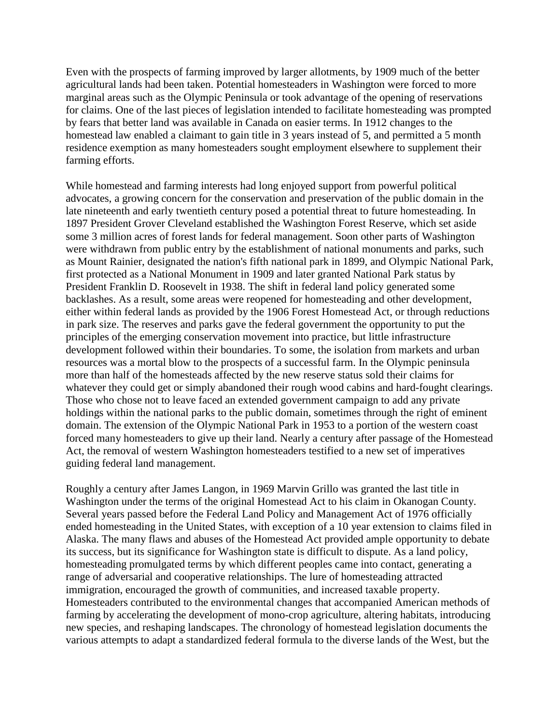Even with the prospects of farming improved by larger allotments, by 1909 much of the better agricultural lands had been taken. Potential homesteaders in Washington were forced to more marginal areas such as the Olympic Peninsula or took advantage of the opening of reservations for claims. One of the last pieces of legislation intended to facilitate homesteading was prompted by fears that better land was available in Canada on easier terms. In 1912 changes to the homestead law enabled a claimant to gain title in 3 years instead of 5, and permitted a 5 month residence exemption as many homesteaders sought employment elsewhere to supplement their farming efforts.

While homestead and farming interests had long enjoyed support from powerful political advocates, a growing concern for the conservation and preservation of the public domain in the late nineteenth and early twentieth century posed a potential threat to future homesteading. In 1897 President Grover Cleveland established the Washington Forest Reserve, which set aside some 3 million acres of forest lands for federal management. Soon other parts of Washington were withdrawn from public entry by the establishment of national monuments and parks, such as Mount Rainier, designated the nation's fifth national park in 1899, and Olympic National Park, first protected as a National Monument in 1909 and later granted National Park status by President Franklin D. Roosevelt in 1938. The shift in federal land policy generated some backlashes. As a result, some areas were reopened for homesteading and other development, either within federal lands as provided by the 1906 Forest Homestead Act, or through reductions in park size. The reserves and parks gave the federal government the opportunity to put the principles of the emerging conservation movement into practice, but little infrastructure development followed within their boundaries. To some, the isolation from markets and urban resources was a mortal blow to the prospects of a successful farm. In the Olympic peninsula more than half of the homesteads affected by the new reserve status sold their claims for whatever they could get or simply abandoned their rough wood cabins and hard-fought clearings. Those who chose not to leave faced an extended government campaign to add any private holdings within the national parks to the public domain, sometimes through the right of eminent domain. The extension of the Olympic National Park in 1953 to a portion of the western coast forced many homesteaders to give up their land. Nearly a century after passage of the Homestead Act, the removal of western Washington homesteaders testified to a new set of imperatives guiding federal land management.

Roughly a century after James Langon, in 1969 Marvin Grillo was granted the last title in Washington under the terms of the original Homestead Act to his claim in Okanogan County. Several years passed before the Federal Land Policy and Management Act of 1976 officially ended homesteading in the United States, with exception of a 10 year extension to claims filed in Alaska. The many flaws and abuses of the Homestead Act provided ample opportunity to debate its success, but its significance for Washington state is difficult to dispute. As a land policy, homesteading promulgated terms by which different peoples came into contact, generating a range of adversarial and cooperative relationships. The lure of homesteading attracted immigration, encouraged the growth of communities, and increased taxable property. Homesteaders contributed to the environmental changes that accompanied American methods of farming by accelerating the development of mono-crop agriculture, altering habitats, introducing new species, and reshaping landscapes. The chronology of homestead legislation documents the various attempts to adapt a standardized federal formula to the diverse lands of the West, but the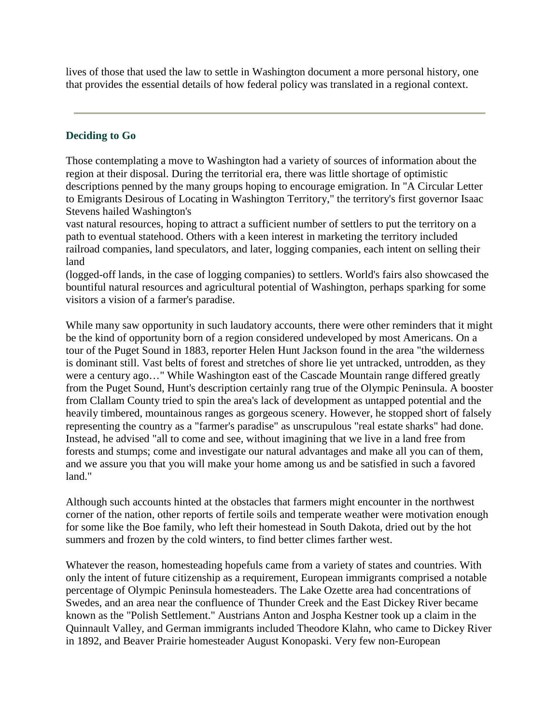lives of those that used the law to settle in Washington document a more personal history, one that provides the essential details of how federal policy was translated in a regional context.

# **Deciding to Go**

Those contemplating a move to Washington had a variety of sources of information about the region at their disposal. During the territorial era, there was little shortage of optimistic descriptions penned by the many groups hoping to encourage emigration. In "A Circular Letter to Emigrants Desirous of Locating in Washington Territory," the territory's first governor Isaac Stevens hailed Washington's

vast natural resources, hoping to attract a sufficient number of settlers to put the territory on a path to eventual statehood. Others with a keen interest in marketing the territory included railroad companies, land speculators, and later, logging companies, each intent on selling their land

(logged-off lands, in the case of logging companies) to settlers. World's fairs also showcased the bountiful natural resources and agricultural potential of Washington, perhaps sparking for some visitors a vision of a farmer's paradise.

While many saw opportunity in such laudatory accounts, there were other reminders that it might be the kind of opportunity born of a region considered undeveloped by most Americans. On a tour of the Puget Sound in 1883, reporter Helen Hunt Jackson found in the area "the wilderness is dominant still. Vast belts of forest and stretches of shore lie yet untracked, untrodden, as they were a century ago…" While Washington east of the Cascade Mountain range differed greatly from the Puget Sound, Hunt's description certainly rang true of the Olympic Peninsula. A booster from Clallam County tried to spin the area's lack of development as untapped potential and the heavily timbered, mountainous ranges as gorgeous scenery. However, he stopped short of falsely representing the country as a "farmer's paradise" as unscrupulous "real estate sharks" had done. Instead, he advised "all to come and see, without imagining that we live in a land free from forests and stumps; come and investigate our natural advantages and make all you can of them, and we assure you that you will make your home among us and be satisfied in such a favored land."

Although such accounts hinted at the obstacles that farmers might encounter in the northwest corner of the nation, other reports of fertile soils and temperate weather were motivation enough for some like the Boe family, who left their homestead in South Dakota, dried out by the hot summers and frozen by the cold winters, to find better climes farther west.

Whatever the reason, homesteading hopefuls came from a variety of states and countries. With only the intent of future citizenship as a requirement, European immigrants comprised a notable percentage of Olympic Peninsula homesteaders. The Lake Ozette area had concentrations of Swedes, and an area near the confluence of Thunder Creek and the East Dickey River became known as the "Polish Settlement." Austrians Anton and Jospha Kestner took up a claim in the Quinnault Valley, and German immigrants included Theodore Klahn, who came to Dickey River in 1892, and Beaver Prairie homesteader August Konopaski. Very few non-European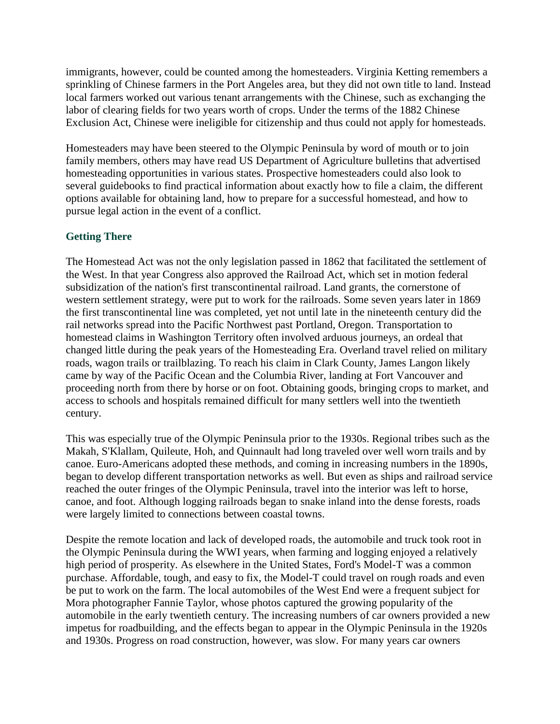immigrants, however, could be counted among the homesteaders. Virginia Ketting remembers a sprinkling of Chinese farmers in the Port Angeles area, but they did not own title to land. Instead local farmers worked out various tenant arrangements with the Chinese, such as exchanging the labor of clearing fields for two years worth of crops. Under the terms of the 1882 Chinese Exclusion Act, Chinese were ineligible for citizenship and thus could not apply for homesteads.

Homesteaders may have been steered to the Olympic Peninsula by word of mouth or to join family members, others may have read US Department of Agriculture bulletins that advertised homesteading opportunities in various states. Prospective homesteaders could also look to several guidebooks to find practical information about exactly how to file a claim, the different options available for obtaining land, how to prepare for a successful homestead, and how to pursue legal action in the event of a conflict.

# **Getting There**

The Homestead Act was not the only legislation passed in 1862 that facilitated the settlement of the West. In that year Congress also approved the Railroad Act, which set in motion federal subsidization of the nation's first transcontinental railroad. Land grants, the cornerstone of western settlement strategy, were put to work for the railroads. Some seven years later in 1869 the first transcontinental line was completed, yet not until late in the nineteenth century did the rail networks spread into the Pacific Northwest past Portland, Oregon. Transportation to homestead claims in Washington Territory often involved arduous journeys, an ordeal that changed little during the peak years of the Homesteading Era. Overland travel relied on military roads, wagon trails or trailblazing. To reach his claim in Clark County, James Langon likely came by way of the Pacific Ocean and the Columbia River, landing at Fort Vancouver and proceeding north from there by horse or on foot. Obtaining goods, bringing crops to market, and access to schools and hospitals remained difficult for many settlers well into the twentieth century.

This was especially true of the Olympic Peninsula prior to the 1930s. Regional tribes such as the Makah, S'Klallam, Quileute, Hoh, and Quinnault had long traveled over well worn trails and by canoe. Euro-Americans adopted these methods, and coming in increasing numbers in the 1890s, began to develop different transportation networks as well. But even as ships and railroad service reached the outer fringes of the Olympic Peninsula, travel into the interior was left to horse, canoe, and foot. Although logging railroads began to snake inland into the dense forests, roads were largely limited to connections between coastal towns.

Despite the remote location and lack of developed roads, the automobile and truck took root in the Olympic Peninsula during the WWI years, when farming and logging enjoyed a relatively high period of prosperity. As elsewhere in the United States, Ford's Model-T was a common purchase. Affordable, tough, and easy to fix, the Model-T could travel on rough roads and even be put to work on the farm. The local automobiles of the West End were a frequent subject for Mora photographer Fannie Taylor, whose photos captured the growing popularity of the automobile in the early twentieth century. The increasing numbers of car owners provided a new impetus for roadbuilding, and the effects began to appear in the Olympic Peninsula in the 1920s and 1930s. Progress on road construction, however, was slow. For many years car owners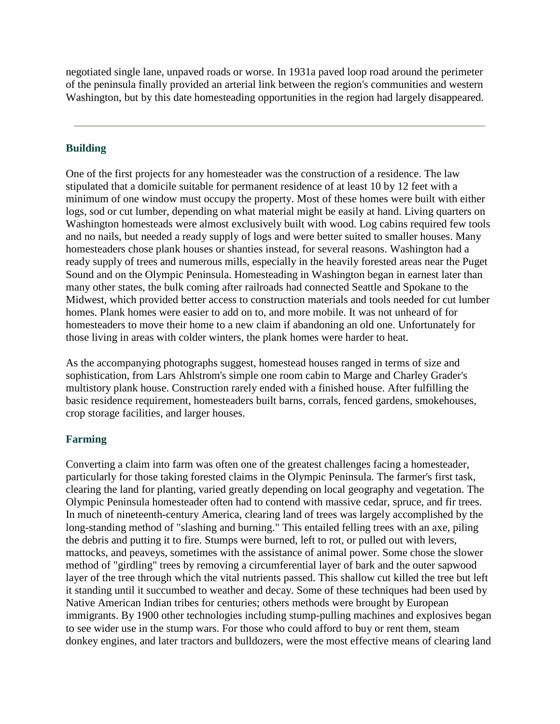negotiated single lane, unpaved roads or worse. In 1931a paved loop road around the perimeter of the peninsula finally provided an arterial link between the region's communities and western Washington, but by this date homesteading opportunities in the region had largely disappeared.

### **Building**

One of the first projects for any homesteader was the construction of a residence. The law stipulated that a domicile suitable for permanent residence of at least 10 by 12 feet with a minimum of one window must occupy the property. Most of these homes were built with either logs, sod or cut lumber, depending on what material might be easily at hand. Living quarters on Washington homesteads were almost exclusively built with wood. Log cabins required few tools and no nails, but needed a ready supply of logs and were better suited to smaller houses. Many homesteaders chose plank houses or shanties instead, for several reasons. Washington had a ready supply of trees and numerous mills, especially in the heavily forested areas near the Puget Sound and on the Olympic Peninsula. Homesteading in Washington began in earnest later than many other states, the bulk coming after railroads had connected Seattle and Spokane to the Midwest, which provided better access to construction materials and tools needed for cut lumber homes. Plank homes were easier to add on to, and more mobile. It was not unheard of for homesteaders to move their home to a new claim if abandoning an old one. Unfortunately for those living in areas with colder winters, the plank homes were harder to heat.

As the accompanying photographs suggest, homestead houses ranged in terms of size and sophistication, from Lars Ahlstrom's simple one room cabin to Marge and Charley Grader's multistory plank house. Construction rarely ended with a finished house. After fulfilling the basic residence requirement, homesteaders built barns, corrals, fenced gardens, smokehouses, crop storage facilities, and larger houses.

#### **Farming**

Converting a claim into farm was often one of the greatest challenges facing a homesteader, particularly for those taking forested claims in the Olympic Peninsula. The farmer's first task, clearing the land for planting, varied greatly depending on local geography and vegetation. The Olympic Peninsula homesteader often had to contend with massive cedar, spruce, and fir trees. In much of nineteenth-century America, clearing land of trees was largely accomplished by the long-standing method of "slashing and burning." This entailed felling trees with an axe, piling the debris and putting it to fire. Stumps were burned, left to rot, or pulled out with levers, mattocks, and peaveys, sometimes with the assistance of animal power. Some chose the slower method of "girdling" trees by removing a circumferential layer of bark and the outer sapwood layer of the tree through which the vital nutrients passed. This shallow cut killed the tree but left it standing until it succumbed to weather and decay. Some of these techniques had been used by Native American Indian tribes for centuries; others methods were brought by European immigrants. By 1900 other technologies including stump-pulling machines and explosives began to see wider use in the stump wars. For those who could afford to buy or rent them, steam donkey engines, and later tractors and bulldozers, were the most effective means of clearing land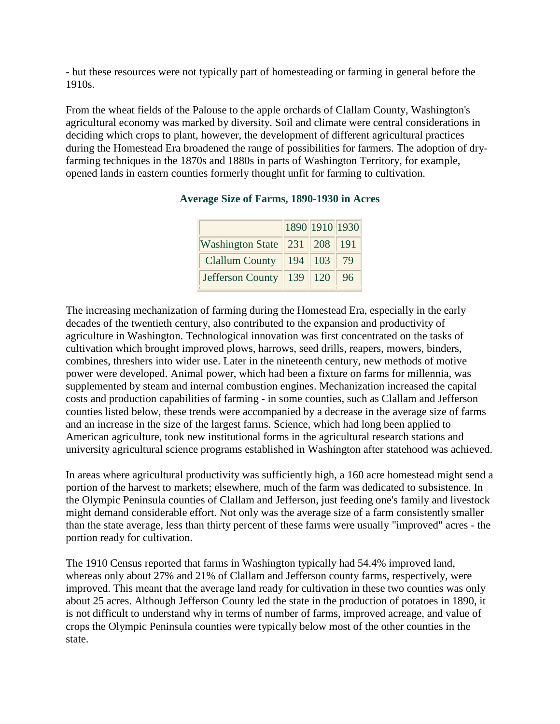- but these resources were not typically part of homesteading or farming in general before the 1910s.

From the wheat fields of the Palouse to the apple orchards of Clallam County, Washington's agricultural economy was marked by diversity. Soil and climate were central considerations in deciding which crops to plant, however, the development of different agricultural practices during the Homestead Era broadened the range of possibilities for farmers. The adoption of dryfarming techniques in the 1870s and 1880s in parts of Washington Territory, for example, opened lands in eastern counties formerly thought unfit for farming to cultivation.

|                                    |             | 1890 1910 1930 |      |
|------------------------------------|-------------|----------------|------|
| Washington State   231   208   191 |             |                |      |
| Clallum County                     | $194$ 103   |                | - 79 |
| Jefferson County                   | $139$   120 |                | 96   |

# **Average Size of Farms, 1890-1930 in Acres**

The increasing mechanization of farming during the Homestead Era, especially in the early decades of the twentieth century, also contributed to the expansion and productivity of agriculture in Washington. Technological innovation was first concentrated on the tasks of cultivation which brought improved plows, harrows, seed drills, reapers, mowers, binders, combines, threshers into wider use. Later in the nineteenth century, new methods of motive power were developed. Animal power, which had been a fixture on farms for millennia, was supplemented by steam and internal combustion engines. Mechanization increased the capital costs and production capabilities of farming - in some counties, such as Clallam and Jefferson counties listed below, these trends were accompanied by a decrease in the average size of farms and an increase in the size of the largest farms. Science, which had long been applied to American agriculture, took new institutional forms in the agricultural research stations and university agricultural science programs established in Washington after statehood was achieved.

In areas where agricultural productivity was sufficiently high, a 160 acre homestead might send a portion of the harvest to markets; elsewhere, much of the farm was dedicated to subsistence. In the Olympic Peninsula counties of Clallam and Jefferson, just feeding one's family and livestock might demand considerable effort. Not only was the average size of a farm consistently smaller than the state average, less than thirty percent of these farms were usually "improved" acres - the portion ready for cultivation.

The 1910 Census reported that farms in Washington typically had 54.4% improved land, whereas only about 27% and 21% of Clallam and Jefferson county farms, respectively, were improved. This meant that the average land ready for cultivation in these two counties was only about 25 acres. Although Jefferson County led the state in the production of potatoes in 1890, it is not difficult to understand why in terms of number of farms, improved acreage, and value of crops the Olympic Peninsula counties were typically below most of the other counties in the state.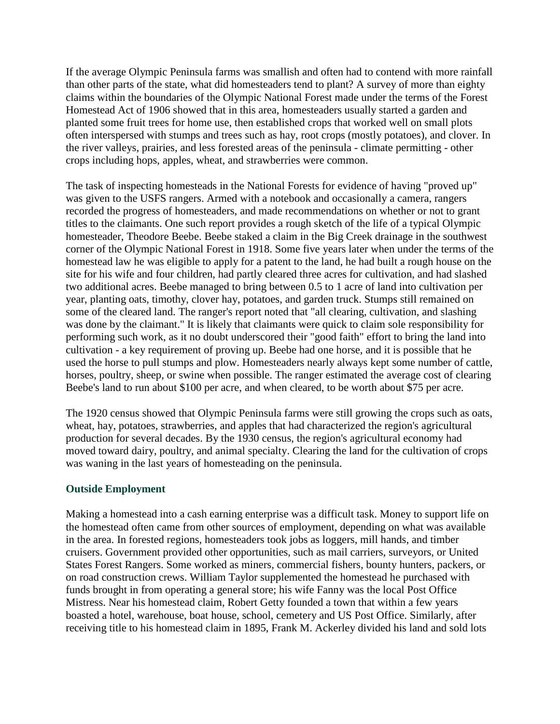If the average Olympic Peninsula farms was smallish and often had to contend with more rainfall than other parts of the state, what did homesteaders tend to plant? A survey of more than eighty claims within the boundaries of the Olympic National Forest made under the terms of the Forest Homestead Act of 1906 showed that in this area, homesteaders usually started a garden and planted some fruit trees for home use, then established crops that worked well on small plots often interspersed with stumps and trees such as hay, root crops (mostly potatoes), and clover. In the river valleys, prairies, and less forested areas of the peninsula - climate permitting - other crops including hops, apples, wheat, and strawberries were common.

The task of inspecting homesteads in the National Forests for evidence of having "proved up" was given to the USFS rangers. Armed with a notebook and occasionally a camera, rangers recorded the progress of homesteaders, and made recommendations on whether or not to grant titles to the claimants. One such report provides a rough sketch of the life of a typical Olympic homesteader, Theodore Beebe. Beebe staked a claim in the Big Creek drainage in the southwest corner of the Olympic National Forest in 1918. Some five years later when under the terms of the homestead law he was eligible to apply for a patent to the land, he had built a rough house on the site for his wife and four children, had partly cleared three acres for cultivation, and had slashed two additional acres. Beebe managed to bring between 0.5 to 1 acre of land into cultivation per year, planting oats, timothy, clover hay, potatoes, and garden truck. Stumps still remained on some of the cleared land. The ranger's report noted that "all clearing, cultivation, and slashing was done by the claimant." It is likely that claimants were quick to claim sole responsibility for performing such work, as it no doubt underscored their "good faith" effort to bring the land into cultivation - a key requirement of proving up. Beebe had one horse, and it is possible that he used the horse to pull stumps and plow. Homesteaders nearly always kept some number of cattle, horses, poultry, sheep, or swine when possible. The ranger estimated the average cost of clearing Beebe's land to run about \$100 per acre, and when cleared, to be worth about \$75 per acre.

The 1920 census showed that Olympic Peninsula farms were still growing the crops such as oats, wheat, hay, potatoes, strawberries, and apples that had characterized the region's agricultural production for several decades. By the 1930 census, the region's agricultural economy had moved toward dairy, poultry, and animal specialty. Clearing the land for the cultivation of crops was waning in the last years of homesteading on the peninsula.

#### **Outside Employment**

Making a homestead into a cash earning enterprise was a difficult task. Money to support life on the homestead often came from other sources of employment, depending on what was available in the area. In forested regions, homesteaders took jobs as loggers, mill hands, and timber cruisers. Government provided other opportunities, such as mail carriers, surveyors, or United States Forest Rangers. Some worked as miners, commercial fishers, bounty hunters, packers, or on road construction crews. William Taylor supplemented the homestead he purchased with funds brought in from operating a general store; his wife Fanny was the local Post Office Mistress. Near his homestead claim, Robert Getty founded a town that within a few years boasted a hotel, warehouse, boat house, school, cemetery and US Post Office. Similarly, after receiving title to his homestead claim in 1895, Frank M. Ackerley divided his land and sold lots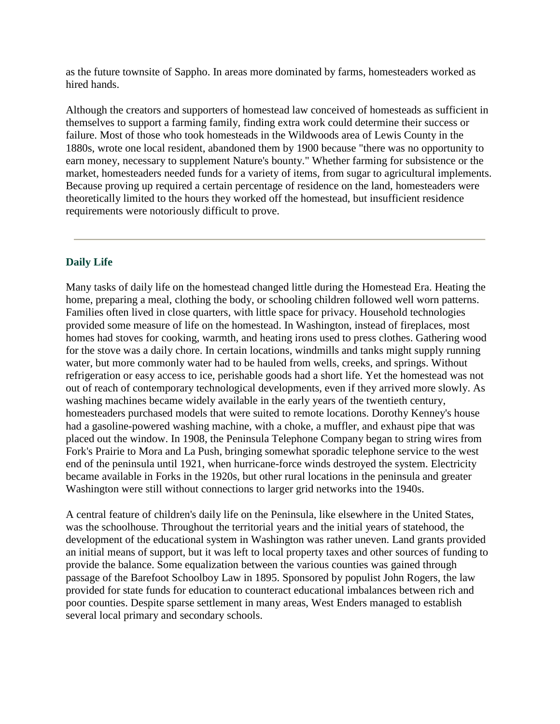as the future townsite of Sappho. In areas more dominated by farms, homesteaders worked as hired hands.

Although the creators and supporters of homestead law conceived of homesteads as sufficient in themselves to support a farming family, finding extra work could determine their success or failure. Most of those who took homesteads in the Wildwoods area of Lewis County in the 1880s, wrote one local resident, abandoned them by 1900 because "there was no opportunity to earn money, necessary to supplement Nature's bounty." Whether farming for subsistence or the market, homesteaders needed funds for a variety of items, from sugar to agricultural implements. Because proving up required a certain percentage of residence on the land, homesteaders were theoretically limited to the hours they worked off the homestead, but insufficient residence requirements were notoriously difficult to prove.

# **Daily Life**

Many tasks of daily life on the homestead changed little during the Homestead Era. Heating the home, preparing a meal, clothing the body, or schooling children followed well worn patterns. Families often lived in close quarters, with little space for privacy. Household technologies provided some measure of life on the homestead. In Washington, instead of fireplaces, most homes had stoves for cooking, warmth, and heating irons used to press clothes. Gathering wood for the stove was a daily chore. In certain locations, windmills and tanks might supply running water, but more commonly water had to be hauled from wells, creeks, and springs. Without refrigeration or easy access to ice, perishable goods had a short life. Yet the homestead was not out of reach of contemporary technological developments, even if they arrived more slowly. As washing machines became widely available in the early years of the twentieth century, homesteaders purchased models that were suited to remote locations. Dorothy Kenney's house had a gasoline-powered washing machine, with a choke, a muffler, and exhaust pipe that was placed out the window. In 1908, the Peninsula Telephone Company began to string wires from Fork's Prairie to Mora and La Push, bringing somewhat sporadic telephone service to the west end of the peninsula until 1921, when hurricane-force winds destroyed the system. Electricity became available in Forks in the 1920s, but other rural locations in the peninsula and greater Washington were still without connections to larger grid networks into the 1940s.

A central feature of children's daily life on the Peninsula, like elsewhere in the United States, was the schoolhouse. Throughout the territorial years and the initial years of statehood, the development of the educational system in Washington was rather uneven. Land grants provided an initial means of support, but it was left to local property taxes and other sources of funding to provide the balance. Some equalization between the various counties was gained through passage of the Barefoot Schoolboy Law in 1895. Sponsored by populist John Rogers, the law provided for state funds for education to counteract educational imbalances between rich and poor counties. Despite sparse settlement in many areas, West Enders managed to establish several local primary and secondary schools.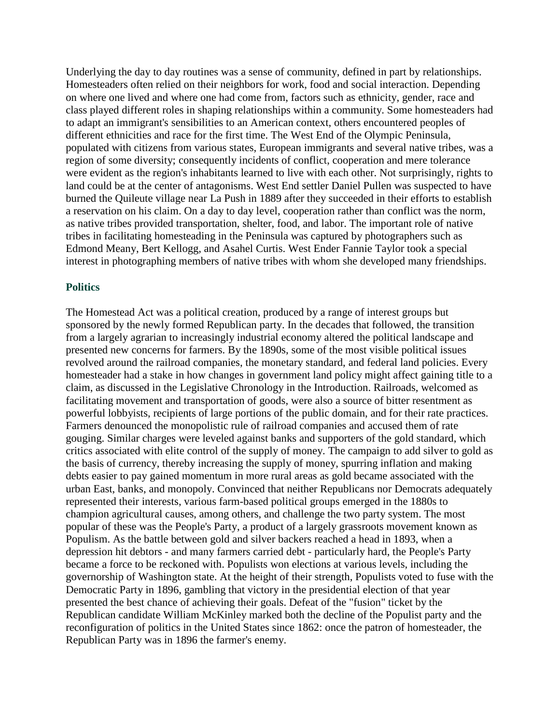Underlying the day to day routines was a sense of community, defined in part by relationships. Homesteaders often relied on their neighbors for work, food and social interaction. Depending on where one lived and where one had come from, factors such as ethnicity, gender, race and class played different roles in shaping relationships within a community. Some homesteaders had to adapt an immigrant's sensibilities to an American context, others encountered peoples of different ethnicities and race for the first time. The West End of the Olympic Peninsula, populated with citizens from various states, European immigrants and several native tribes, was a region of some diversity; consequently incidents of conflict, cooperation and mere tolerance were evident as the region's inhabitants learned to live with each other. Not surprisingly, rights to land could be at the center of antagonisms. West End settler Daniel Pullen was suspected to have burned the Quileute village near La Push in 1889 after they succeeded in their efforts to establish a reservation on his claim. On a day to day level, cooperation rather than conflict was the norm, as native tribes provided transportation, shelter, food, and labor. The important role of native tribes in facilitating homesteading in the Peninsula was captured by photographers such as Edmond Meany, Bert Kellogg, and Asahel Curtis. West Ender Fannie Taylor took a special interest in photographing members of native tribes with whom she developed many friendships.

#### **Politics**

The Homestead Act was a political creation, produced by a range of interest groups but sponsored by the newly formed Republican party. In the decades that followed, the transition from a largely agrarian to increasingly industrial economy altered the political landscape and presented new concerns for farmers. By the 1890s, some of the most visible political issues revolved around the railroad companies, the monetary standard, and federal land policies. Every homesteader had a stake in how changes in government land policy might affect gaining title to a claim, as discussed in the Legislative Chronology in the Introduction. Railroads, welcomed as facilitating movement and transportation of goods, were also a source of bitter resentment as powerful lobbyists, recipients of large portions of the public domain, and for their rate practices. Farmers denounced the monopolistic rule of railroad companies and accused them of rate gouging. Similar charges were leveled against banks and supporters of the gold standard, which critics associated with elite control of the supply of money. The campaign to add silver to gold as the basis of currency, thereby increasing the supply of money, spurring inflation and making debts easier to pay gained momentum in more rural areas as gold became associated with the urban East, banks, and monopoly. Convinced that neither Republicans nor Democrats adequately represented their interests, various farm-based political groups emerged in the 1880s to champion agricultural causes, among others, and challenge the two party system. The most popular of these was the People's Party, a product of a largely grassroots movement known as Populism. As the battle between gold and silver backers reached a head in 1893, when a depression hit debtors - and many farmers carried debt - particularly hard, the People's Party became a force to be reckoned with. Populists won elections at various levels, including the governorship of Washington state. At the height of their strength, Populists voted to fuse with the Democratic Party in 1896, gambling that victory in the presidential election of that year presented the best chance of achieving their goals. Defeat of the "fusion" ticket by the Republican candidate William McKinley marked both the decline of the Populist party and the reconfiguration of politics in the United States since 1862: once the patron of homesteader, the Republican Party was in 1896 the farmer's enemy.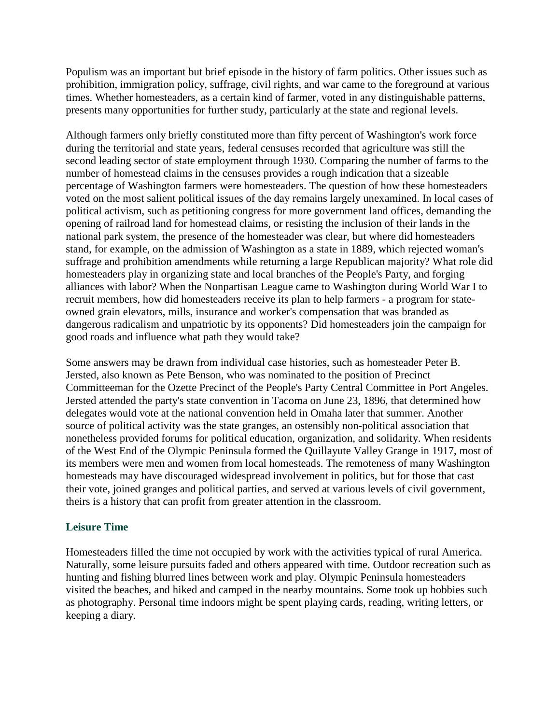Populism was an important but brief episode in the history of farm politics. Other issues such as prohibition, immigration policy, suffrage, civil rights, and war came to the foreground at various times. Whether homesteaders, as a certain kind of farmer, voted in any distinguishable patterns, presents many opportunities for further study, particularly at the state and regional levels.

Although farmers only briefly constituted more than fifty percent of Washington's work force during the territorial and state years, federal censuses recorded that agriculture was still the second leading sector of state employment through 1930. Comparing the number of farms to the number of homestead claims in the censuses provides a rough indication that a sizeable percentage of Washington farmers were homesteaders. The question of how these homesteaders voted on the most salient political issues of the day remains largely unexamined. In local cases of political activism, such as petitioning congress for more government land offices, demanding the opening of railroad land for homestead claims, or resisting the inclusion of their lands in the national park system, the presence of the homesteader was clear, but where did homesteaders stand, for example, on the admission of Washington as a state in 1889, which rejected woman's suffrage and prohibition amendments while returning a large Republican majority? What role did homesteaders play in organizing state and local branches of the People's Party, and forging alliances with labor? When the Nonpartisan League came to Washington during World War I to recruit members, how did homesteaders receive its plan to help farmers - a program for stateowned grain elevators, mills, insurance and worker's compensation that was branded as dangerous radicalism and unpatriotic by its opponents? Did homesteaders join the campaign for good roads and influence what path they would take?

Some answers may be drawn from individual case histories, such as homesteader Peter B. Jersted, also known as Pete Benson, who was nominated to the position of Precinct Committeeman for the Ozette Precinct of the People's Party Central Committee in Port Angeles. Jersted attended the party's state convention in Tacoma on June 23, 1896, that determined how delegates would vote at the national convention held in Omaha later that summer. Another source of political activity was the state granges, an ostensibly non-political association that nonetheless provided forums for political education, organization, and solidarity. When residents of the West End of the Olympic Peninsula formed the Quillayute Valley Grange in 1917, most of its members were men and women from local homesteads. The remoteness of many Washington homesteads may have discouraged widespread involvement in politics, but for those that cast their vote, joined granges and political parties, and served at various levels of civil government, theirs is a history that can profit from greater attention in the classroom.

# **Leisure Time**

Homesteaders filled the time not occupied by work with the activities typical of rural America. Naturally, some leisure pursuits faded and others appeared with time. Outdoor recreation such as hunting and fishing blurred lines between work and play. Olympic Peninsula homesteaders visited the beaches, and hiked and camped in the nearby mountains. Some took up hobbies such as photography. Personal time indoors might be spent playing cards, reading, writing letters, or keeping a diary.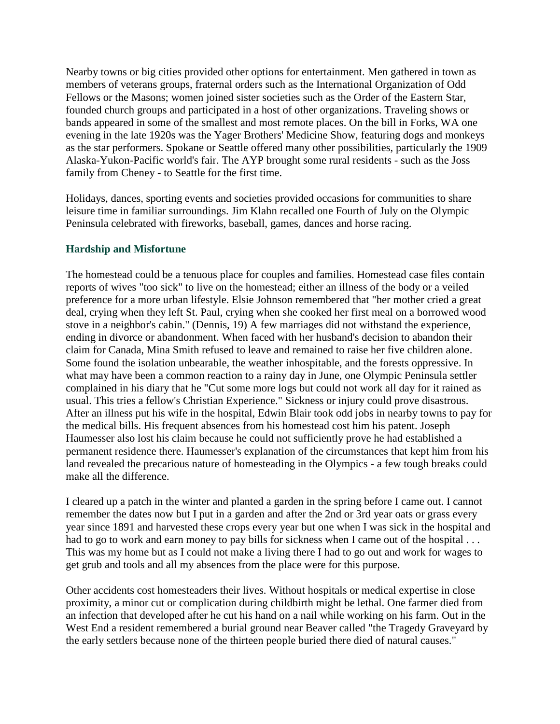Nearby towns or big cities provided other options for entertainment. Men gathered in town as members of veterans groups, fraternal orders such as the International Organization of Odd Fellows or the Masons; women joined sister societies such as the Order of the Eastern Star, founded church groups and participated in a host of other organizations. Traveling shows or bands appeared in some of the smallest and most remote places. On the bill in Forks, WA one evening in the late 1920s was the Yager Brothers' Medicine Show, featuring dogs and monkeys as the star performers. Spokane or Seattle offered many other possibilities, particularly the 1909 Alaska-Yukon-Pacific world's fair. The AYP brought some rural residents - such as the Joss family from Cheney - to Seattle for the first time.

Holidays, dances, sporting events and societies provided occasions for communities to share leisure time in familiar surroundings. Jim Klahn recalled one Fourth of July on the Olympic Peninsula celebrated with fireworks, baseball, games, dances and horse racing.

### **Hardship and Misfortune**

The homestead could be a tenuous place for couples and families. Homestead case files contain reports of wives "too sick" to live on the homestead; either an illness of the body or a veiled preference for a more urban lifestyle. Elsie Johnson remembered that "her mother cried a great deal, crying when they left St. Paul, crying when she cooked her first meal on a borrowed wood stove in a neighbor's cabin." (Dennis, 19) A few marriages did not withstand the experience, ending in divorce or abandonment. When faced with her husband's decision to abandon their claim for Canada, Mina Smith refused to leave and remained to raise her five children alone. Some found the isolation unbearable, the weather inhospitable, and the forests oppressive. In what may have been a common reaction to a rainy day in June, one Olympic Peninsula settler complained in his diary that he "Cut some more logs but could not work all day for it rained as usual. This tries a fellow's Christian Experience." Sickness or injury could prove disastrous. After an illness put his wife in the hospital, Edwin Blair took odd jobs in nearby towns to pay for the medical bills. His frequent absences from his homestead cost him his patent. Joseph Haumesser also lost his claim because he could not sufficiently prove he had established a permanent residence there. Haumesser's explanation of the circumstances that kept him from his land revealed the precarious nature of homesteading in the Olympics - a few tough breaks could make all the difference.

I cleared up a patch in the winter and planted a garden in the spring before I came out. I cannot remember the dates now but I put in a garden and after the 2nd or 3rd year oats or grass every year since 1891 and harvested these crops every year but one when I was sick in the hospital and had to go to work and earn money to pay bills for sickness when I came out of the hospital ... This was my home but as I could not make a living there I had to go out and work for wages to get grub and tools and all my absences from the place were for this purpose.

Other accidents cost homesteaders their lives. Without hospitals or medical expertise in close proximity, a minor cut or complication during childbirth might be lethal. One farmer died from an infection that developed after he cut his hand on a nail while working on his farm. Out in the West End a resident remembered a burial ground near Beaver called "the Tragedy Graveyard by the early settlers because none of the thirteen people buried there died of natural causes."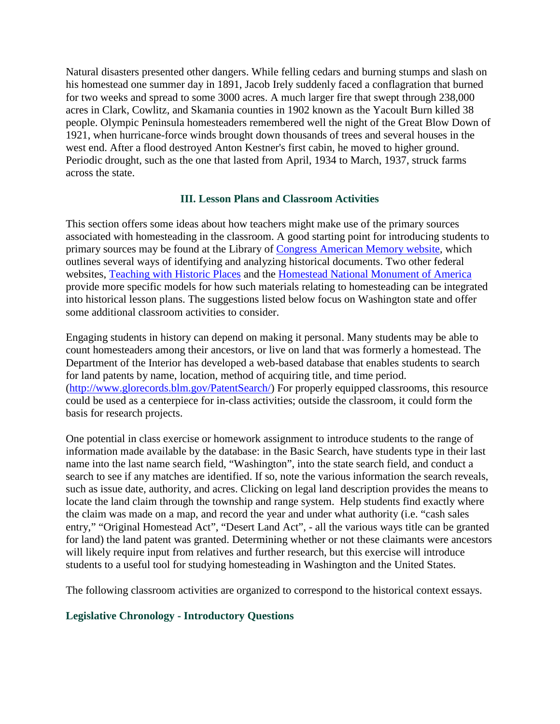Natural disasters presented other dangers. While felling cedars and burning stumps and slash on his homestead one summer day in 1891, Jacob Irely suddenly faced a conflagration that burned for two weeks and spread to some 3000 acres. A much larger fire that swept through 238,000 acres in Clark, Cowlitz, and Skamania counties in 1902 known as the Yacoult Burn killed 38 people. Olympic Peninsula homesteaders remembered well the night of the Great Blow Down of 1921, when hurricane-force winds brought down thousands of trees and several houses in the west end. After a flood destroyed Anton Kestner's first cabin, he moved to higher ground. Periodic drought, such as the one that lasted from April, 1934 to March, 1937, struck farms across the state.

### **III. Lesson Plans and Classroom Activities**

This section offers some ideas about how teachers might make use of the primary sources associated with homesteading in the classroom. A good starting point for introducing students to primary sources may be found at the Library of [Congress American Memory website,](http://memory.loc.gov/learn/start/prim_sources.html) which outlines several ways of identifying and analyzing historical documents. Two other federal websites, [Teaching with Historic Places](http://www.cr.nps.gov/nr/twhp/wwwlps/lessons/67hornbek/67hornbek.htm) and the [Homestead National Monument of America](http://www.nps.gov/home/) provide more specific models for how such materials relating to homesteading can be integrated into historical lesson plans. The suggestions listed below focus on Washington state and offer some additional classroom activities to consider.

Engaging students in history can depend on making it personal. Many students may be able to count homesteaders among their ancestors, or live on land that was formerly a homestead. The Department of the Interior has developed a web-based database that enables students to search for land patents by name, location, method of acquiring title, and time period. [\(http://www.glorecords.blm.gov/PatentSearch/\)](http://www.glorecords.blm.gov/PatentSearch/) For properly equipped classrooms, this resource could be used as a centerpiece for in-class activities; outside the classroom, it could form the basis for research projects.

One potential in class exercise or homework assignment to introduce students to the range of information made available by the database: in the Basic Search, have students type in their last name into the last name search field, "Washington", into the state search field, and conduct a search to see if any matches are identified. If so, note the various information the search reveals, such as issue date, authority, and acres. Clicking on legal land description provides the means to locate the land claim through the township and range system. Help students find exactly where the claim was made on a map, and record the year and under what authority (i.e. "cash sales entry," "Original Homestead Act", "Desert Land Act", - all the various ways title can be granted for land) the land patent was granted. Determining whether or not these claimants were ancestors will likely require input from relatives and further research, but this exercise will introduce students to a useful tool for studying homesteading in Washington and the United States.

The following classroom activities are organized to correspond to the historical context essays.

# **Legislative Chronology - Introductory Questions**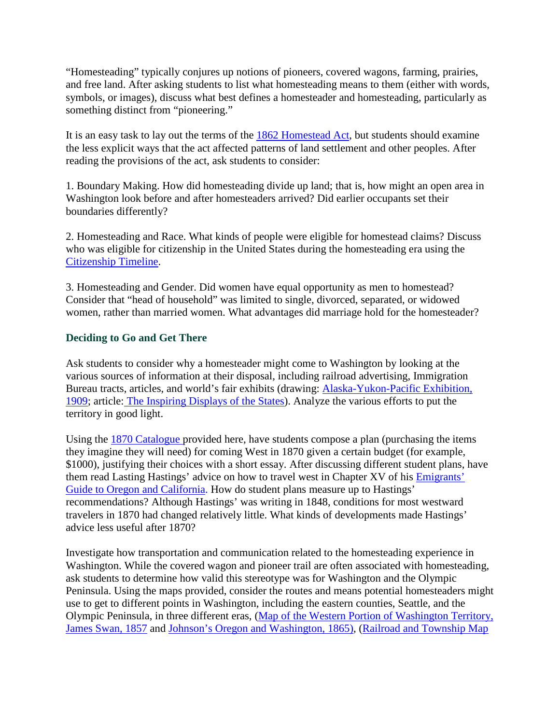"Homesteading" typically conjures up notions of pioneers, covered wagons, farming, prairies, and free land. After asking students to list what homesteading means to them (either with words, symbols, or images), discuss what best defines a homesteader and homesteading, particularly as something distinct from "pioneering."

It is an easy task to lay out the terms of the [1862 Homestead Act,](http://www.ourdocuments.gov/doc.php?flash=true&doc=31) but students should examine the less explicit ways that the act affected patterns of land settlement and other peoples. After reading the provisions of the act, ask students to consider:

1. Boundary Making. How did homesteading divide up land; that is, how might an open area in Washington look before and after homesteaders arrived? Did earlier occupants set their boundaries differently?

2. Homesteading and Race. What kinds of people were eligible for homestead claims? Discuss who was eligible for citizenship in the United States during the homesteading era using the Citizenship Timeline.

3. Homesteading and Gender. Did women have equal opportunity as men to homestead? Consider that "head of household" was limited to single, divorced, separated, or widowed women, rather than married women. What advantages did marriage hold for the homesteader?

# **Deciding to Go and Get There**

Ask students to consider why a homesteader might come to Washington by looking at the various sources of information at their disposal, including railroad advertising, Immigration Bureau tracts, articles, and world's fair exhibits (drawing: [Alaska-Yukon-Pacific Exhibition,](http://content.lib.washington.edu/aypweb)  [1909;](http://content.lib.washington.edu/aypweb) article: The Inspiring Displays of the States). Analyze the various efforts to put the territory in good light.

Using the 1870 Catalogue provided here, have students compose a plan (purchasing the items they imagine they will need) for coming West in 1870 given a certain budget (for example, \$1000), justifying their choices with a short essay. After discussing different student plans, have them read Lasting Hastings' advice on how to travel west in Chapter XV of his Emigrants' Guide to Oregon and California. How do student plans measure up to Hastings' recommendations? Although Hastings' was writing in 1848, conditions for most westward travelers in 1870 had changed relatively little. What kinds of developments made Hastings' advice less useful after 1870?

Investigate how transportation and communication related to the homesteading experience in Washington. While the covered wagon and pioneer trail are often associated with homesteading, ask students to determine how valid this stereotype was for Washington and the Olympic Peninsula. Using the maps provided, consider the routes and means potential homesteaders might use to get to different points in Washington, including the eastern counties, Seattle, and the Olympic Peninsula, in three different eras, [\(Map of the Western Portion of Washington Territory,](http://content.wsulibs.wsu.edu/cgi-bin/viewer.exe?CISOROOT=/maps&CISOPTR=670)  [James Swan, 1857](http://content.wsulibs.wsu.edu/cgi-bin/viewer.exe?CISOROOT=/maps&CISOPTR=670) and [Johnson's Oregon and Washington, 1865\),](http://content.wsulibs.wsu.edu/cgi-bin/viewer.exe?CISOROOT=/maps&CISOPTR=716) [\(Railroad and Township Map](http://content.wsulibs.wsu.edu/cgi-bin/viewer.exe?CISOROOT=/maps&CISOPTR=551)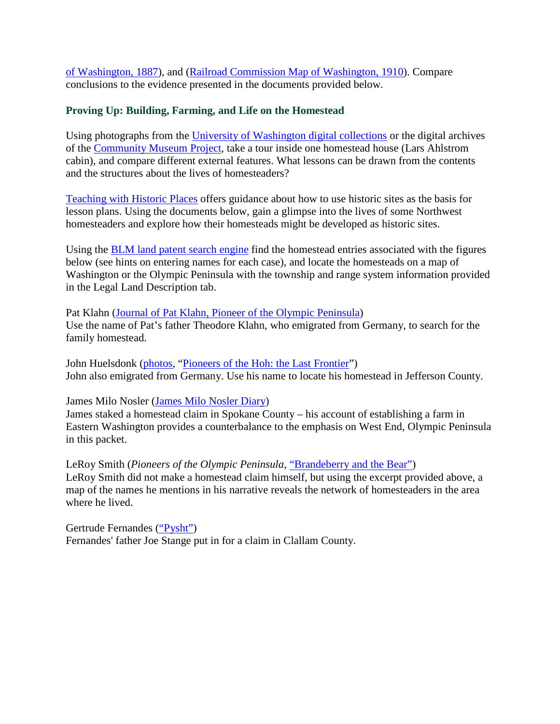of Washington, 1887), and [\(Railroad Commission Map of Washington, 1910\)](http://content.wsulibs.wsu.edu/cgi-bin/viewer.exe?CISOROOT=/maps&CISOPTR=568). Compare conclusions to the evidence presented in the documents provided below.

### **Proving Up: Building, Farming, and Life on the Homestead**

Using photographs from the University [of Washington digital collections](http://content.lib.washington.edu/cgi-bin/queryresults.exe?CISOROOT=/CMPindiv&CISOROOT=/ftm&CISOROOT=/ll&CISOROOT=/mtn&CISOROOT=/nps&CISOROOT=/nol&CISOROOT=/wastate&CISOROOT=/pioneerlife&CISOFIELD1=CISOSEARCHALL&CISOOP1=all&CISOBOX1=olympic&CISOFIELD3=CISOSEARCHALL&CISOOP3=any&CISOBOX3=homestead*%20cabin%20&CISOMODE=thumb&CISOSTART=46) or the digital archives of the [Community Museum Project,](http://content.lib.washington.edu/cmpweb/search.html) take a tour inside one homestead house (Lars Ahlstrom cabin), and compare different external features. What lessons can be drawn from the contents and the structures about the lives of homesteaders?

[Teaching with Historic Places](http://www.cr.nps.gov/nr/twhp/guide.htm) offers guidance about how to use historic sites as the basis for lesson plans. Using the documents below, gain a glimpse into the lives of some Northwest homesteaders and explore how their homesteads might be developed as historic sites.

Using the [BLM land patent search engine](http://www.glorecords.blm.gov/PatentSearch/) find the homestead entries associated with the figures below (see hints on entering names for each case), and locate the homesteads on a map of Washington or the Olympic Peninsula with the township and range system information provided in the Legal Land Description tab.

Pat Klahn [\(Journal of Pat Klahn, Pioneer of the Olympic Peninsula\)](http://content.lib.washington.edu/cgi-bin/docviewer.exe?CISOROOT=/CMPindiv&CISOPTR=830) Use the name of Pat's father Theodore Klahn, who emigrated from Germany, to search for the family homestead.

John Huelsdonk [\(photos,](http://content.lib.washington.edu/cgi-bin/queryresults.exe?fg=&CISOOP1=all&CISOBOX1=huelsdonk+olympic&CISOFIELD1=CISOSEARCHALL&CISOOP2=exact&CISOBOX2=&CISOFIELD2=CISOSEARCHALL&CISOOP3=any&CISOBOX3=&CISOFIELD3=CISOSEARCHALL&CISOOP4=none&CISOBOX4=&CISOFIELD4=CISOSEARCHALL&cisobox1=huelsdonk+olympic&cisobox2=&cisobox3=&cisobox4=&CISOROOT=%2FCMPindiv&CISOROOT=%2Fftm&CISOROOT=%2Fll&CISOROOT=%2Fmtn&CISOROOT=%2Fnps&CISOROOT=%2Fnol&CISOROOT=%2Fwastate&CISOROOT=%2Fpioneerlife) ["Pioneers of the Hoh: the Last Frontier"](http://content.lib.washington.edu/cgi-bin/docviewer.exe?CISOROOT=/CMPindiv&CISOPTR=833)) John also emigrated from Germany. Use his name to locate his homestead in Jefferson County.

#### James Milo Nosler [\(James Milo Nosler Diary\)](http://content.lib.washington.edu/cgi-bin/queryresults.exe?fg=&CISOOP1=all&CISOBOX1=nosler&CISOFIELD1=CISOSEARCHALL&CISOOP2=exact&CISOBOX2=&CISOFIELD2=CISOSEARCHALL&CISOOP3=any&CISOBOX3=&CISOFIELD3=CISOSEARCHALL&CISOOP4=none&CISOBOX4=&CISOFIELD4=CISOSEARCHALL&cisobox1=nosler&cisobox2=&cisobox3=&cisobox4=&CISOROOT=%2FCMPindiv&CISOROOT=%2Fftm&CISOROOT=%2Fll&CISOROOT=%2Fmtn&CISOROOT=%2Fnps&CISOROOT=%2Fnol&CISOROOT=%2Fwastate&CISOROOT=%2Fpioneerlife)

James staked a homestead claim in Spokane County – his account of establishing a farm in Eastern Washington provides a counterbalance to the emphasis on West End, Olympic Peninsula in this packet.

LeRoy Smith (*Pioneers of the Olympic Peninsula*, "Brandeberry and the Bear") LeRoy Smith did not make a homestead claim himself, but using the excerpt provided above, a map of the names he mentions in his narrative reveals the network of homesteaders in the area where he lived.

Gertrude Fernandes [\("Pysht"\)](http://content.lib.washington.edu/cmpweb/exhibits/logging/index.html) Fernandes' father Joe Stange put in for a claim in Clallam County.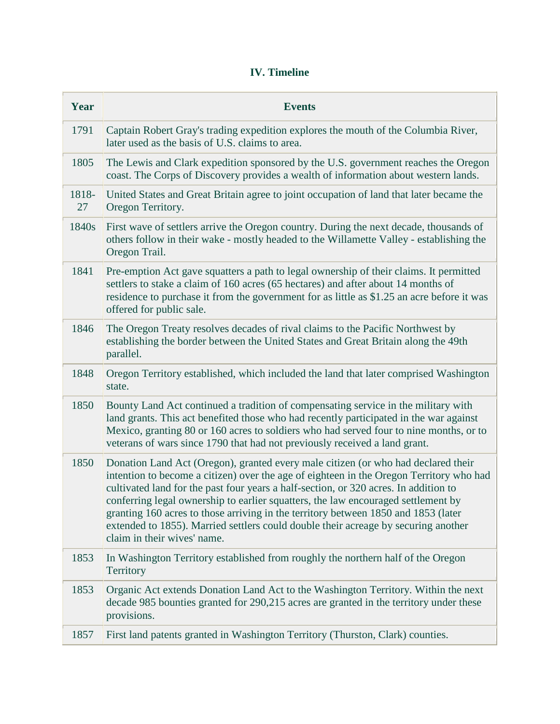# **IV. Timeline**

| Year        | <b>Events</b>                                                                                                                                                                                                                                                                                                                                                                                                                                                                                                                                                        |
|-------------|----------------------------------------------------------------------------------------------------------------------------------------------------------------------------------------------------------------------------------------------------------------------------------------------------------------------------------------------------------------------------------------------------------------------------------------------------------------------------------------------------------------------------------------------------------------------|
| 1791        | Captain Robert Gray's trading expedition explores the mouth of the Columbia River,<br>later used as the basis of U.S. claims to area.                                                                                                                                                                                                                                                                                                                                                                                                                                |
| 1805        | The Lewis and Clark expedition sponsored by the U.S. government reaches the Oregon<br>coast. The Corps of Discovery provides a wealth of information about western lands.                                                                                                                                                                                                                                                                                                                                                                                            |
| 1818-<br>27 | United States and Great Britain agree to joint occupation of land that later became the<br>Oregon Territory.                                                                                                                                                                                                                                                                                                                                                                                                                                                         |
| 1840s       | First wave of settlers arrive the Oregon country. During the next decade, thousands of<br>others follow in their wake - mostly headed to the Willamette Valley - establishing the<br>Oregon Trail.                                                                                                                                                                                                                                                                                                                                                                   |
| 1841        | Pre-emption Act gave squatters a path to legal ownership of their claims. It permitted<br>settlers to stake a claim of 160 acres (65 hectares) and after about 14 months of<br>residence to purchase it from the government for as little as \$1.25 an acre before it was<br>offered for public sale.                                                                                                                                                                                                                                                                |
| 1846        | The Oregon Treaty resolves decades of rival claims to the Pacific Northwest by<br>establishing the border between the United States and Great Britain along the 49th<br>parallel.                                                                                                                                                                                                                                                                                                                                                                                    |
| 1848        | Oregon Territory established, which included the land that later comprised Washington<br>state.                                                                                                                                                                                                                                                                                                                                                                                                                                                                      |
| 1850        | Bounty Land Act continued a tradition of compensating service in the military with<br>land grants. This act benefited those who had recently participated in the war against<br>Mexico, granting 80 or 160 acres to soldiers who had served four to nine months, or to<br>veterans of wars since 1790 that had not previously received a land grant.                                                                                                                                                                                                                 |
| 1850        | Donation Land Act (Oregon), granted every male citizen (or who had declared their<br>intention to become a citizen) over the age of eighteen in the Oregon Territory who had<br>cultivated land for the past four years a half-section, or 320 acres. In addition to<br>conferring legal ownership to earlier squatters, the law encouraged settlement by<br>granting 160 acres to those arriving in the territory between 1850 and 1853 (later<br>extended to 1855). Married settlers could double their acreage by securing another<br>claim in their wives' name. |
| 1853        | In Washington Territory established from roughly the northern half of the Oregon<br>Territory                                                                                                                                                                                                                                                                                                                                                                                                                                                                        |
| 1853        | Organic Act extends Donation Land Act to the Washington Territory. Within the next<br>decade 985 bounties granted for 290,215 acres are granted in the territory under these<br>provisions.                                                                                                                                                                                                                                                                                                                                                                          |
| 1857        | First land patents granted in Washington Territory (Thurston, Clark) counties.                                                                                                                                                                                                                                                                                                                                                                                                                                                                                       |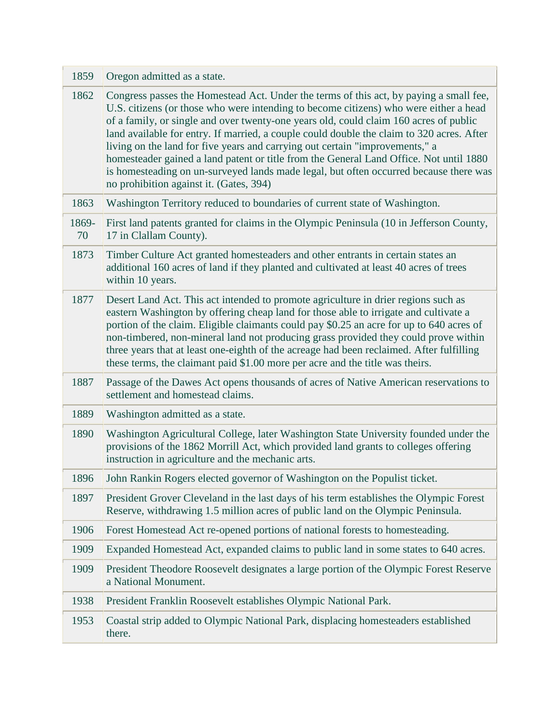| 1859        | Oregon admitted as a state.                                                                                                                                                                                                                                                                                                                                                                                                                                                                                                                                                                                                                                                         |
|-------------|-------------------------------------------------------------------------------------------------------------------------------------------------------------------------------------------------------------------------------------------------------------------------------------------------------------------------------------------------------------------------------------------------------------------------------------------------------------------------------------------------------------------------------------------------------------------------------------------------------------------------------------------------------------------------------------|
| 1862        | Congress passes the Homestead Act. Under the terms of this act, by paying a small fee,<br>U.S. citizens (or those who were intending to become citizens) who were either a head<br>of a family, or single and over twenty-one years old, could claim 160 acres of public<br>land available for entry. If married, a couple could double the claim to 320 acres. After<br>living on the land for five years and carrying out certain "improvements," a<br>homesteader gained a land patent or title from the General Land Office. Not until 1880<br>is homesteading on un-surveyed lands made legal, but often occurred because there was<br>no prohibition against it. (Gates, 394) |
| 1863        | Washington Territory reduced to boundaries of current state of Washington.                                                                                                                                                                                                                                                                                                                                                                                                                                                                                                                                                                                                          |
| 1869-<br>70 | First land patents granted for claims in the Olympic Peninsula (10 in Jefferson County,<br>17 in Clallam County).                                                                                                                                                                                                                                                                                                                                                                                                                                                                                                                                                                   |
| 1873        | Timber Culture Act granted homesteaders and other entrants in certain states an<br>additional 160 acres of land if they planted and cultivated at least 40 acres of trees<br>within 10 years.                                                                                                                                                                                                                                                                                                                                                                                                                                                                                       |
| 1877        | Desert Land Act. This act intended to promote agriculture in drier regions such as<br>eastern Washington by offering cheap land for those able to irrigate and cultivate a<br>portion of the claim. Eligible claimants could pay \$0.25 an acre for up to 640 acres of<br>non-timbered, non-mineral land not producing grass provided they could prove within<br>three years that at least one-eighth of the acreage had been reclaimed. After fulfilling<br>these terms, the claimant paid \$1.00 more per acre and the title was theirs.                                                                                                                                          |
| 1887        | Passage of the Dawes Act opens thousands of acres of Native American reservations to<br>settlement and homestead claims.                                                                                                                                                                                                                                                                                                                                                                                                                                                                                                                                                            |
| 1889        | Washington admitted as a state.                                                                                                                                                                                                                                                                                                                                                                                                                                                                                                                                                                                                                                                     |
| 1890        | Washington Agricultural College, later Washington State University founded under the<br>provisions of the 1862 Morrill Act, which provided land grants to colleges offering<br>instruction in agriculture and the mechanic arts.                                                                                                                                                                                                                                                                                                                                                                                                                                                    |
| 1896        | John Rankin Rogers elected governor of Washington on the Populist ticket.                                                                                                                                                                                                                                                                                                                                                                                                                                                                                                                                                                                                           |
| 1897        | President Grover Cleveland in the last days of his term establishes the Olympic Forest<br>Reserve, withdrawing 1.5 million acres of public land on the Olympic Peninsula.                                                                                                                                                                                                                                                                                                                                                                                                                                                                                                           |
| 1906        | Forest Homestead Act re-opened portions of national forests to homesteading.                                                                                                                                                                                                                                                                                                                                                                                                                                                                                                                                                                                                        |
| 1909        | Expanded Homestead Act, expanded claims to public land in some states to 640 acres.                                                                                                                                                                                                                                                                                                                                                                                                                                                                                                                                                                                                 |
| 1909        | President Theodore Roosevelt designates a large portion of the Olympic Forest Reserve<br>a National Monument.                                                                                                                                                                                                                                                                                                                                                                                                                                                                                                                                                                       |
| 1938        | President Franklin Roosevelt establishes Olympic National Park.                                                                                                                                                                                                                                                                                                                                                                                                                                                                                                                                                                                                                     |
| 1953        | Coastal strip added to Olympic National Park, displacing homesteaders established<br>there.                                                                                                                                                                                                                                                                                                                                                                                                                                                                                                                                                                                         |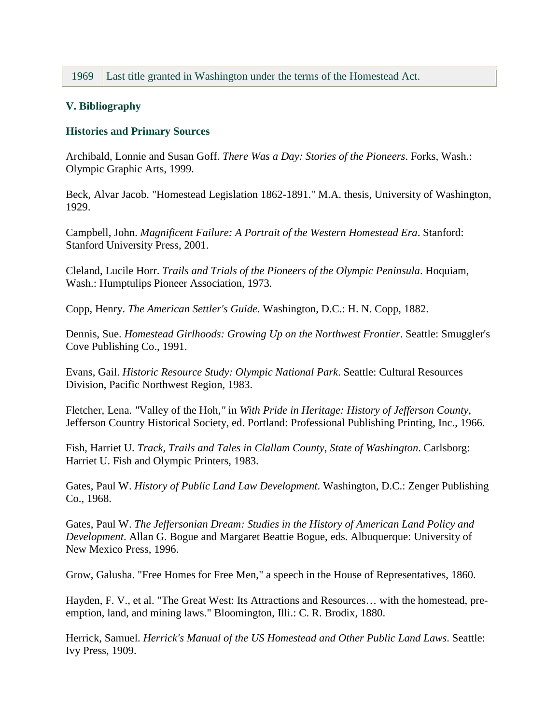# **V. Bibliography**

### **Histories and Primary Sources**

Archibald, Lonnie and Susan Goff. *There Was a Day: Stories of the Pioneers*. Forks, Wash.: Olympic Graphic Arts, 1999.

Beck, Alvar Jacob. "Homestead Legislation 1862-1891." M.A. thesis, University of Washington, 1929.

Campbell, John. *Magnificent Failure: A Portrait of the Western Homestead Era*. Stanford: Stanford University Press, 2001.

Cleland, Lucile Horr. *Trails and Trials of the Pioneers of the Olympic Peninsula*. Hoquiam, Wash.: Humptulips Pioneer Association, 1973.

Copp, Henry. *The American Settler's Guide*. Washington, D.C.: H. N. Copp, 1882.

Dennis, Sue. *Homestead Girlhoods: Growing Up on the Northwest Frontier*. Seattle: Smuggler's Cove Publishing Co., 1991.

Evans, Gail. *Historic Resource Study: Olympic National Park*. Seattle: Cultural Resources Division, Pacific Northwest Region, 1983.

Fletcher, Lena. *"*Valley of the Hoh*,"* in *With Pride in Heritage: History of Jefferson County*, Jefferson Country Historical Society, ed. Portland: Professional Publishing Printing, Inc., 1966.

Fish, Harriet U. *Track, Trails and Tales in Clallam County*, *State of Washington*. Carlsborg: Harriet U. Fish and Olympic Printers, 1983.

Gates, Paul W. *History of Public Land Law Development*. Washington, D.C.: Zenger Publishing Co., 1968.

Gates, Paul W. *The Jeffersonian Dream: Studies in the History of American Land Policy and Development*. Allan G. Bogue and Margaret Beattie Bogue, eds. Albuquerque: University of New Mexico Press, 1996.

Grow, Galusha. "Free Homes for Free Men," a speech in the House of Representatives, 1860.

Hayden, F. V., et al. "The Great West: Its Attractions and Resources… with the homestead, preemption, land, and mining laws." Bloomington, Illi.: C. R. Brodix, 1880.

Herrick, Samuel. *Herrick's Manual of the US Homestead and Other Public Land Laws*. Seattle: Ivy Press, 1909.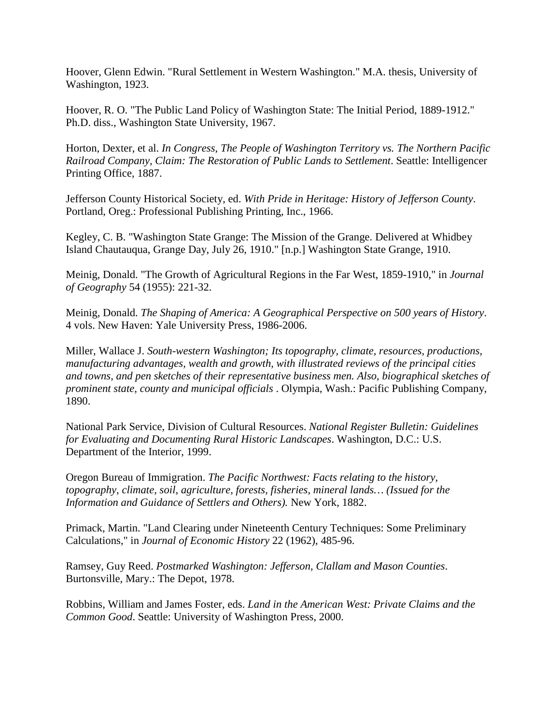Hoover, Glenn Edwin. "Rural Settlement in Western Washington." M.A. thesis, University of Washington, 1923.

Hoover, R. O. "The Public Land Policy of Washington State: The Initial Period, 1889-1912." Ph.D. diss., Washington State University, 1967.

Horton, Dexter, et al. *In Congress, The People of Washington Territory vs. The Northern Pacific Railroad Company, Claim: The Restoration of Public Lands to Settlement*. Seattle: Intelligencer Printing Office, 1887.

Jefferson County Historical Society, ed. *With Pride in Heritage: History of Jefferson County*. Portland, Oreg.: Professional Publishing Printing, Inc., 1966.

Kegley, C. B. "Washington State Grange: The Mission of the Grange. Delivered at Whidbey Island Chautauqua, Grange Day, July 26, 1910." [n.p.] Washington State Grange, 1910.

Meinig, Donald. "The Growth of Agricultural Regions in the Far West, 1859-1910," in *Journal of Geography* 54 (1955): 221-32.

Meinig, Donald. *The Shaping of America: A Geographical Perspective on 500 years of History*. 4 vols. New Haven: Yale University Press, 1986-2006.

Miller, Wallace J. *South-western Washington; Its topography, climate, resources, productions, manufacturing advantages, wealth and growth, with illustrated reviews of the principal cities and towns, and pen sketches of their representative business men. Also, biographical sketches of prominent state, county and municipal officials* . Olympia, Wash.: Pacific Publishing Company, 1890.

National Park Service, Division of Cultural Resources. *National Register Bulletin: Guidelines for Evaluating and Documenting Rural Historic Landscapes*. Washington, D.C.: U.S. Department of the Interior, 1999.

Oregon Bureau of Immigration. *The Pacific Northwest: Facts relating to the history, topography, climate, soil, agriculture, forests, fisheries, mineral lands… (Issued for the Information and Guidance of Settlers and Others).* New York, 1882.

Primack, Martin. "Land Clearing under Nineteenth Century Techniques: Some Preliminary Calculations," in *Journal of Economic History* 22 (1962), 485-96.

Ramsey, Guy Reed. *Postmarked Washington: Jefferson, Clallam and Mason Counties*. Burtonsville, Mary.: The Depot, 1978.

Robbins, William and James Foster, eds. *Land in the American West: Private Claims and the Common Good*. Seattle: University of Washington Press, 2000.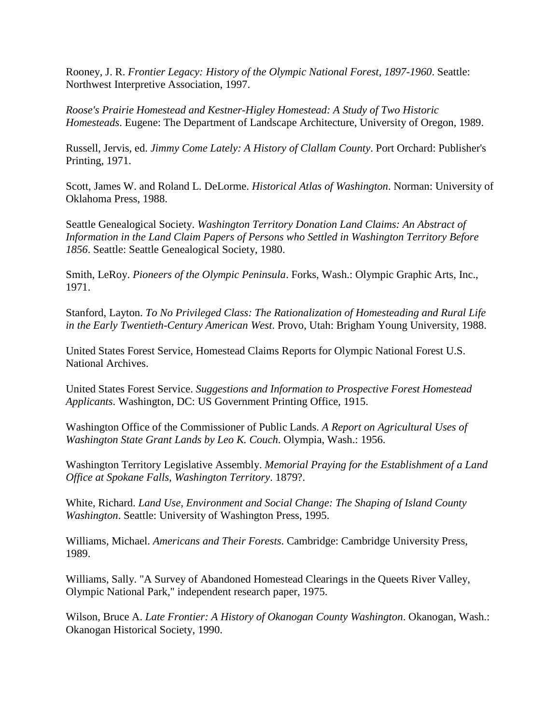Rooney, J. R. *Frontier Legacy: History of the Olympic National Forest, 1897-1960*. Seattle: Northwest Interpretive Association, 1997.

*Roose's Prairie Homestead and Kestner-Higley Homestead: A Study of Two Historic Homesteads*. Eugene: The Department of Landscape Architecture, University of Oregon, 1989.

Russell, Jervis, ed. *Jimmy Come Lately: A History of Clallam County*. Port Orchard: Publisher's Printing, 1971.

Scott, James W. and Roland L. DeLorme. *Historical Atlas of Washington*. Norman: University of Oklahoma Press, 1988.

Seattle Genealogical Society. *Washington Territory Donation Land Claims: An Abstract of Information in the Land Claim Papers of Persons who Settled in Washington Territory Before 1856*. Seattle: Seattle Genealogical Society, 1980.

Smith, LeRoy. *Pioneers of the Olympic Peninsula*. Forks, Wash.: Olympic Graphic Arts, Inc., 1971.

Stanford, Layton. *To No Privileged Class: The Rationalization of Homesteading and Rural Life in the Early Twentieth-Century American West*. Provo, Utah: Brigham Young University, 1988.

United States Forest Service, Homestead Claims Reports for Olympic National Forest U.S. National Archives.

United States Forest Service. *Suggestions and Information to Prospective Forest Homestead Applicants*. Washington, DC: US Government Printing Office, 1915.

Washington Office of the Commissioner of Public Lands. *A Report on Agricultural Uses of Washington State Grant Lands by Leo K. Couch*. Olympia, Wash.: 1956.

Washington Territory Legislative Assembly. *Memorial Praying for the Establishment of a Land Office at Spokane Falls, Washington Territory*. 1879?.

White, Richard. *Land Use, Environment and Social Change: The Shaping of Island County Washington*. Seattle: University of Washington Press, 1995.

Williams, Michael. *Americans and Their Forests*. Cambridge: Cambridge University Press, 1989.

Williams, Sally. "A Survey of Abandoned Homestead Clearings in the Queets River Valley, Olympic National Park," independent research paper, 1975.

Wilson, Bruce A. *Late Frontier: A History of Okanogan County Washington*. Okanogan, Wash.: Okanogan Historical Society, 1990.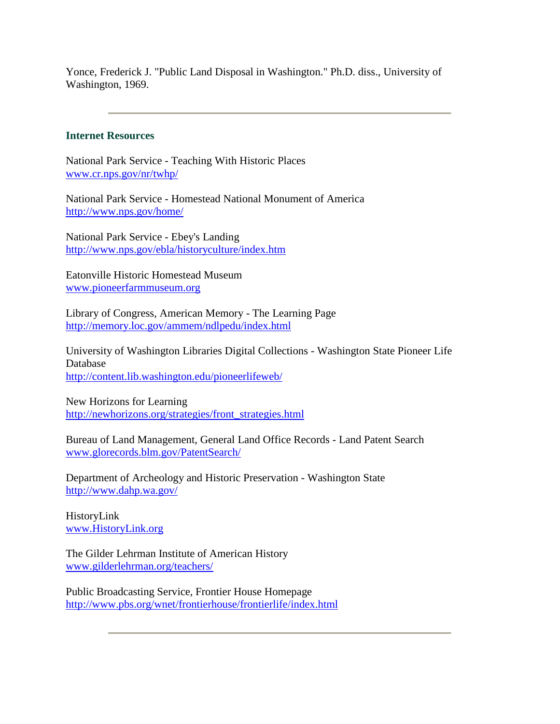Yonce, Frederick J. "Public Land Disposal in Washington." Ph.D. diss., University of Washington, 1969.

#### **Internet Resources**

National Park Service - Teaching With Historic Places [www.cr.nps.gov/nr/twhp/](http://www.cr.nps.gov/nr/twhp/)

National Park Service - Homestead National Monument of America <http://www.nps.gov/home/>

National Park Service - Ebey's Landing <http://www.nps.gov/ebla/historyculture/index.htm>

Eatonville Historic Homestead Museum [www.pioneerfarmmuseum.org](http://www.pioneerfarmmuseum.org/)

Library of Congress, American Memory - The Learning Page <http://memory.loc.gov/ammem/ndlpedu/index.html>

University of Washington Libraries Digital Collections - Washington State Pioneer Life Database <http://content.lib.washington.edu/pioneerlifeweb/>

New Horizons for Learning [http://newhorizons.org/strategies/front\\_strategies.html](http://newhorizons.org/strategies/front_strategies.html)

Bureau of Land Management, General Land Office Records - Land Patent Search [www.glorecords.blm.gov/PatentSearch/](http://www.glorecords.blm.gov/PatentSearch/)

Department of Archeology and Historic Preservation - Washington State <http://www.dahp.wa.gov/>

HistoryLink [www.HistoryLink.org](http://www.historylink.org/)

The Gilder Lehrman Institute of American History [www.gilderlehrman.org/teachers/](http://www.gilderlehrman.org/teachers/)

Public Broadcasting Service, Frontier House Homepage <http://www.pbs.org/wnet/frontierhouse/frontierlife/index.html>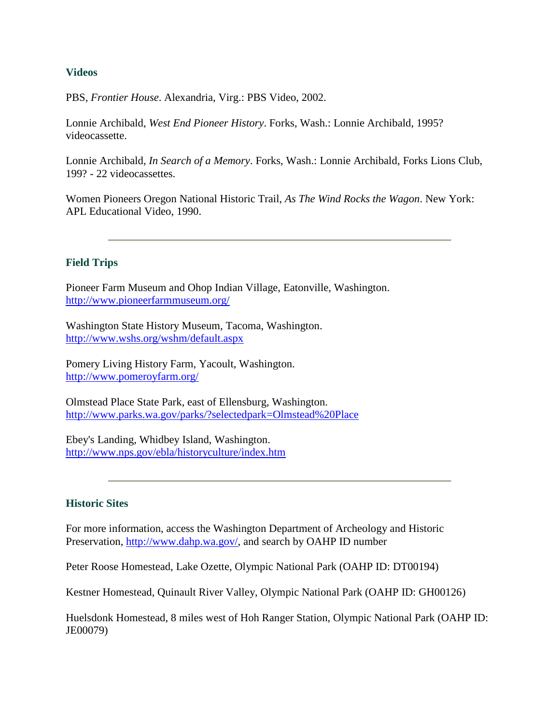#### **Videos**

PBS, *Frontier House*. Alexandria, Virg.: PBS Video, 2002.

Lonnie Archibald, *West End Pioneer History*. Forks, Wash.: Lonnie Archibald, 1995? videocassette.

Lonnie Archibald, *In Search of a Memory*. Forks, Wash.: Lonnie Archibald, Forks Lions Club, 199? - 22 videocassettes.

Women Pioneers Oregon National Historic Trail, *As The Wind Rocks the Wagon*. New York: APL Educational Video, 1990.

### **Field Trips**

Pioneer Farm Museum and Ohop Indian Village, Eatonville, Washington. <http://www.pioneerfarmmuseum.org/>

Washington State History Museum, Tacoma, Washington. <http://www.wshs.org/wshm/default.aspx>

Pomery Living History Farm, Yacoult, Washington. <http://www.pomeroyfarm.org/>

Olmstead Place State Park, east of Ellensburg, Washington. <http://www.parks.wa.gov/parks/?selectedpark=Olmstead%20Place>

Ebey's Landing, Whidbey Island, Washington. <http://www.nps.gov/ebla/historyculture/index.htm>

### **Historic Sites**

For more information, access the Washington Department of Archeology and Historic Preservation, [http://www.dahp.wa.gov/,](http://www.dahp.wa.gov/) and search by OAHP ID number

Peter Roose Homestead, Lake Ozette, Olympic National Park (OAHP ID: DT00194)

Kestner Homestead, Quinault River Valley, Olympic National Park (OAHP ID: GH00126)

Huelsdonk Homestead, 8 miles west of Hoh Ranger Station, Olympic National Park (OAHP ID: JE00079)